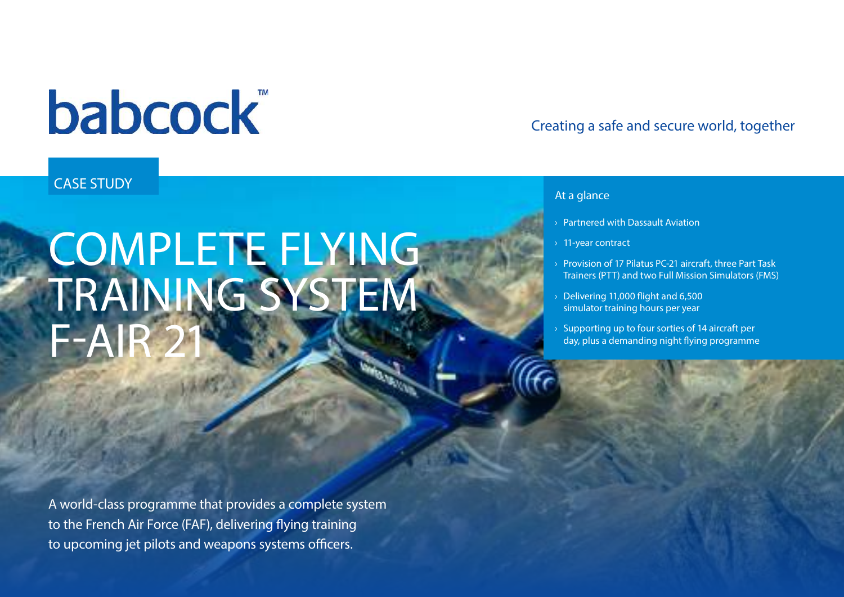# **babcock**

### CASE STUDY

# COMPLETE FLYING TRAINING SYSTEM  $F-$ AIF

A world-class programme that provides a complete system to the French Air Force (FAF), delivering flying training to upcoming jet pilots and weapons systems officers.

### Creating a safe and secure world, together

#### At a glance

- › Partnered with Dassault Aviation
- › 11-year contract
- › Provision of 17 Pilatus PC-21 aircraft, three Part Task Trainers (PTT) and two Full Mission Simulators (FMS)
- › Delivering 11,000 flight and 6,500 simulator training hours per year
- Supporting up to four sorties of 14 aircraft per day, plus a demanding night flying programme